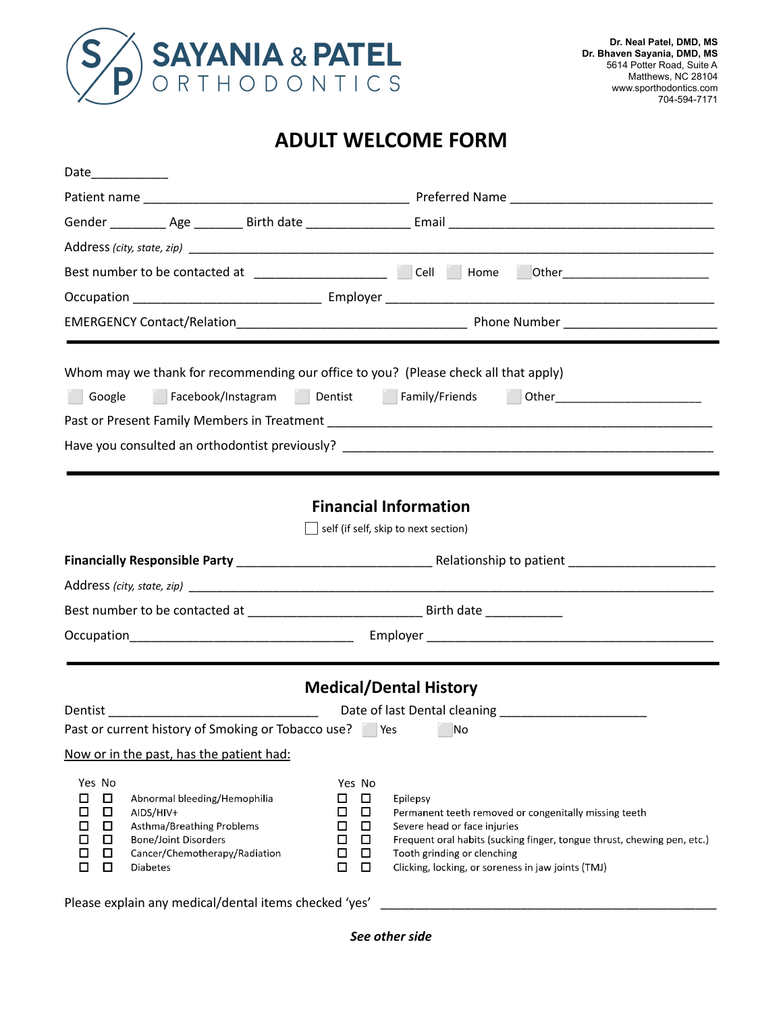

## **ADULT WELCOME FORM**

|                                                                                             | Best number to be contacted at ___________________ Cell   Home   Other_________________                                                                   |                                                                                                  |                                                                                                                                                                                                                                                                   |  |  |  |  |  |
|---------------------------------------------------------------------------------------------|-----------------------------------------------------------------------------------------------------------------------------------------------------------|--------------------------------------------------------------------------------------------------|-------------------------------------------------------------------------------------------------------------------------------------------------------------------------------------------------------------------------------------------------------------------|--|--|--|--|--|
|                                                                                             |                                                                                                                                                           |                                                                                                  |                                                                                                                                                                                                                                                                   |  |  |  |  |  |
|                                                                                             |                                                                                                                                                           |                                                                                                  |                                                                                                                                                                                                                                                                   |  |  |  |  |  |
|                                                                                             | Whom may we thank for recommending our office to you? (Please check all that apply)                                                                       |                                                                                                  |                                                                                                                                                                                                                                                                   |  |  |  |  |  |
| Facebook/Instagram Dentist Family/Friends<br>Google                                         |                                                                                                                                                           |                                                                                                  |                                                                                                                                                                                                                                                                   |  |  |  |  |  |
|                                                                                             |                                                                                                                                                           |                                                                                                  |                                                                                                                                                                                                                                                                   |  |  |  |  |  |
|                                                                                             |                                                                                                                                                           |                                                                                                  |                                                                                                                                                                                                                                                                   |  |  |  |  |  |
|                                                                                             |                                                                                                                                                           |                                                                                                  |                                                                                                                                                                                                                                                                   |  |  |  |  |  |
|                                                                                             |                                                                                                                                                           |                                                                                                  | <b>Financial Information</b>                                                                                                                                                                                                                                      |  |  |  |  |  |
|                                                                                             |                                                                                                                                                           |                                                                                                  | self (if self, skip to next section)                                                                                                                                                                                                                              |  |  |  |  |  |
|                                                                                             |                                                                                                                                                           |                                                                                                  |                                                                                                                                                                                                                                                                   |  |  |  |  |  |
|                                                                                             |                                                                                                                                                           |                                                                                                  |                                                                                                                                                                                                                                                                   |  |  |  |  |  |
|                                                                                             |                                                                                                                                                           |                                                                                                  |                                                                                                                                                                                                                                                                   |  |  |  |  |  |
|                                                                                             |                                                                                                                                                           |                                                                                                  |                                                                                                                                                                                                                                                                   |  |  |  |  |  |
|                                                                                             |                                                                                                                                                           |                                                                                                  |                                                                                                                                                                                                                                                                   |  |  |  |  |  |
| <b>Medical/Dental History</b>                                                               |                                                                                                                                                           |                                                                                                  |                                                                                                                                                                                                                                                                   |  |  |  |  |  |
|                                                                                             | <b>Dentist Dentist</b>                                                                                                                                    |                                                                                                  |                                                                                                                                                                                                                                                                   |  |  |  |  |  |
|                                                                                             | Past or current history of Smoking or Tobacco use? Pes                                                                                                    |                                                                                                  | No                                                                                                                                                                                                                                                                |  |  |  |  |  |
|                                                                                             | Now or in the past, has the patient had:                                                                                                                  |                                                                                                  |                                                                                                                                                                                                                                                                   |  |  |  |  |  |
| Yes No<br>$\Box$<br>□<br>$\Box$<br>□<br>□<br>□<br>$\Box$<br>□<br>$\Box$<br>□<br>$\Box$<br>□ | Abnormal bleeding/Hemophilia<br>AIDS/HIV+<br>Asthma/Breathing Problems<br><b>Bone/Joint Disorders</b><br>Cancer/Chemotherapy/Radiation<br><b>Diabetes</b> | Yes No<br>$\Box$<br>□<br>□<br>$\Box$<br>□<br>$\Box$<br>□<br>$\Box$<br>$\Box$<br>□<br>□<br>$\Box$ | Epilepsy<br>Permanent teeth removed or congenitally missing teeth<br>Severe head or face injuries<br>Frequent oral habits (sucking finger, tongue thrust, chewing pen, etc.)<br>Tooth grinding or clenching<br>Clicking, locking, or soreness in jaw joints (TMJ) |  |  |  |  |  |

Please explain any medical/dental items checked 'yes' \_

*See other side*